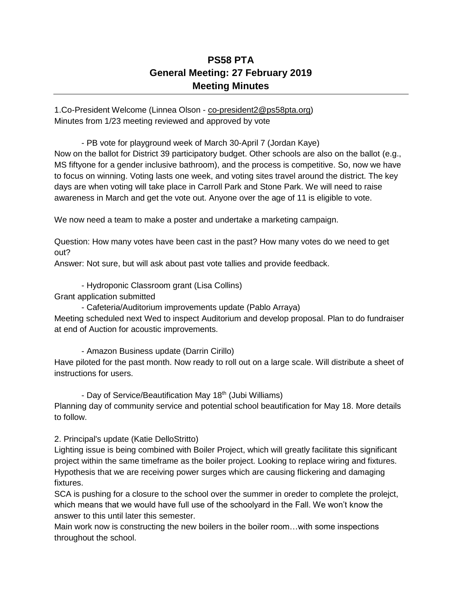## **PS58 PTA General Meeting: 27 February 2019 Meeting Minutes**

1.Co-President Welcome (Linnea Olson - [co-president2@ps58pta.org\)](mailto:co-president2@ps58pta.org) Minutes from 1/23 meeting reviewed and approved by vote

- PB vote for playground week of March 30-April 7 (Jordan Kaye) Now on the ballot for District 39 participatory budget. Other schools are also on the ballot (e.g., MS fiftyone for a gender inclusive bathroom), and the process is competitive. So, now we have to focus on winning. Voting lasts one week, and voting sites travel around the district. The key days are when voting will take place in Carroll Park and Stone Park. We will need to raise awareness in March and get the vote out. Anyone over the age of 11 is eligible to vote.

We now need a team to make a poster and undertake a marketing campaign.

Question: How many votes have been cast in the past? How many votes do we need to get out?

Answer: Not sure, but will ask about past vote tallies and provide feedback.

- Hydroponic Classroom grant (Lisa Collins)

Grant application submitted

to follow.

- Cafeteria/Auditorium improvements update (Pablo Arraya) Meeting scheduled next Wed to inspect Auditorium and develop proposal. Plan to do fundraiser at end of Auction for acoustic improvements.

- Amazon Business update (Darrin Cirillo) Have piloted for the past month. Now ready to roll out on a large scale. Will distribute a sheet of instructions for users.

- Day of Service/Beautification May 18<sup>th</sup> (Jubi Williams) Planning day of community service and potential school beautification for May 18. More details

2. Principal's update (Katie DelloStritto)

Lighting issue is being combined with Boiler Project, which will greatly facilitate this significant project within the same timeframe as the boiler project. Looking to replace wiring and fixtures. Hypothesis that we are receiving power surges which are causing flickering and damaging fixtures.

SCA is pushing for a closure to the school over the summer in oreder to complete the prolejct, which means that we would have full use of the schoolyard in the Fall. We won't know the answer to this until later this semester.

Main work now is constructing the new boilers in the boiler room…with some inspections throughout the school.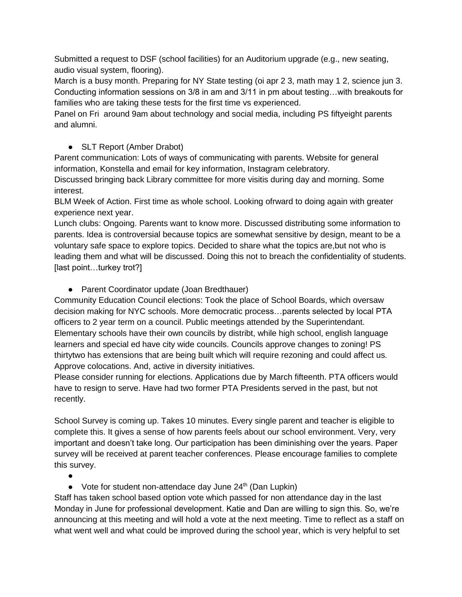Submitted a request to DSF (school facilities) for an Auditorium upgrade (e.g., new seating, audio visual system, flooring).

March is a busy month. Preparing for NY State testing (oi apr 2 3, math may 1 2, science jun 3. Conducting information sessions on 3/8 in am and 3/11 in pm about testing…with breakouts for families who are taking these tests for the first time vs experienced.

Panel on Fri around 9am about technology and social media, including PS fiftyeight parents and alumni.

## • SLT Report (Amber Drabot)

Parent communication: Lots of ways of communicating with parents. Website for general information, Konstella and email for key information, Instagram celebratory.

Discussed bringing back Library committee for more visitis during day and morning. Some interest.

BLM Week of Action. First time as whole school. Looking ofrward to doing again with greater experience next year.

Lunch clubs: Ongoing. Parents want to know more. Discussed distributing some information to parents. Idea is controversial because topics are somewhat sensitive by design, meant to be a voluntary safe space to explore topics. Decided to share what the topics are,but not who is leading them and what will be discussed. Doing this not to breach the confidentiality of students. [last point…turkey trot?]

● Parent Coordinator update (Joan Bredthauer)

Community Education Council elections: Took the place of School Boards, which oversaw decision making for NYC schools. More democratic process…parents selected by local PTA officers to 2 year term on a council. Public meetings attended by the Superintendant. Elementary schools have their own councils by distribt, while high school, english language learners and special ed have city wide councils. Councils approve changes to zoning! PS thirtytwo has extensions that are being built which will require rezoning and could affect us. Approve colocations. And, active in diversity initiatives.

Please consider running for elections. Applications due by March fifteenth. PTA officers would have to resign to serve. Have had two former PTA Presidents served in the past, but not recently.

School Survey is coming up. Takes 10 minutes. Every single parent and teacher is eligible to complete this. It gives a sense of how parents feels about our school environment. Very, very important and doesn't take long. Our participation has been diminishing over the years. Paper survey will be received at parent teacher conferences. Please encourage families to complete this survey.

●

● Vote for student non-attendace day June 24<sup>th</sup> (Dan Lupkin)

Staff has taken school based option vote which passed for non attendance day in the last Monday in June for professional development. Katie and Dan are willing to sign this. So, we're announcing at this meeting and will hold a vote at the next meeting. Time to reflect as a staff on what went well and what could be improved during the school year, which is very helpful to set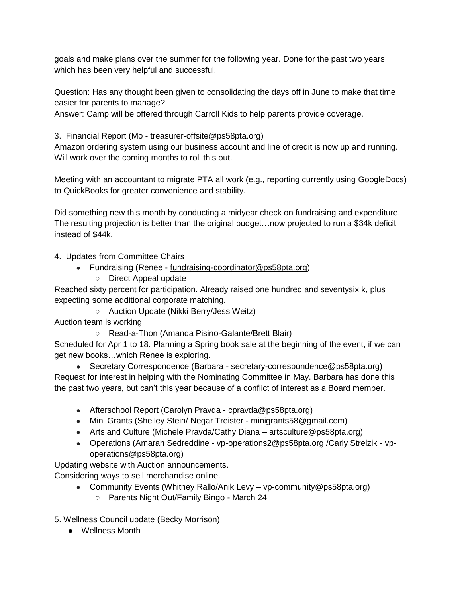goals and make plans over the summer for the following year. Done for the past two years which has been very helpful and successful.

Question: Has any thought been given to consolidating the days off in June to make that time easier for parents to manage?

Answer: Camp will be offered through Carroll Kids to help parents provide coverage.

3. Financial Report (Mo - treasurer-offsite@ps58pta.org)

Amazon ordering system using our business account and line of credit is now up and running. Will work over the coming months to roll this out.

Meeting with an accountant to migrate PTA all work (e.g., reporting currently using GoogleDocs) to QuickBooks for greater convenience and stability.

Did something new this month by conducting a midyear check on fundraising and expenditure. The resulting projection is better than the original budget…now projected to run a \$34k deficit instead of \$44k.

4. Updates from Committee Chairs

- Fundraising (Renee [fundraising-coordinator@ps58pta.org\)](mailto:fundraising-coordinator@ps58pta.org)
	- Direct Appeal update

Reached sixty percent for participation. Already raised one hundred and seventysix k, plus expecting some additional corporate matching.

○ Auction Update (Nikki Berry/Jess Weitz)

Auction team is working

○ Read-a-Thon (Amanda Pisino-Galante/Brett Blair)

Scheduled for Apr 1 to 18. Planning a Spring book sale at the beginning of the event, if we can get new books…which Renee is exploring.

• Secretary Correspondence (Barbara - secretary-correspondence@ps58pta.org) Request for interest in helping with the Nominating Committee in May. Barbara has done this the past two years, but can't this year because of a conflict of interest as a Board member.

- Afterschool Report (Carolyn Pravda [cpravda@ps58pta.org\)](mailto:cpravda@ps58pta.org)
- Mini Grants (Shelley Stein/ Negar Treister minigrants58@gmail.com)
- Arts and Culture (Michele Pravda/Cathy Diana artsculture@ps58pta.org)
- Operations (Amarah Sedreddine [vp-operations2@ps58pta.org](mailto:vp-operations2@ps58pta.org) /Carly Strelzik vpoperations@ps58pta.org)

Updating website with Auction announcements.

Considering ways to sell merchandise online.

- Community Events (Whitney Rallo/Anik Levy vp-community@ps58pta.org)
	- Parents Night Out/Family Bingo March 24

5. Wellness Council update (Becky Morrison)

● Wellness Month